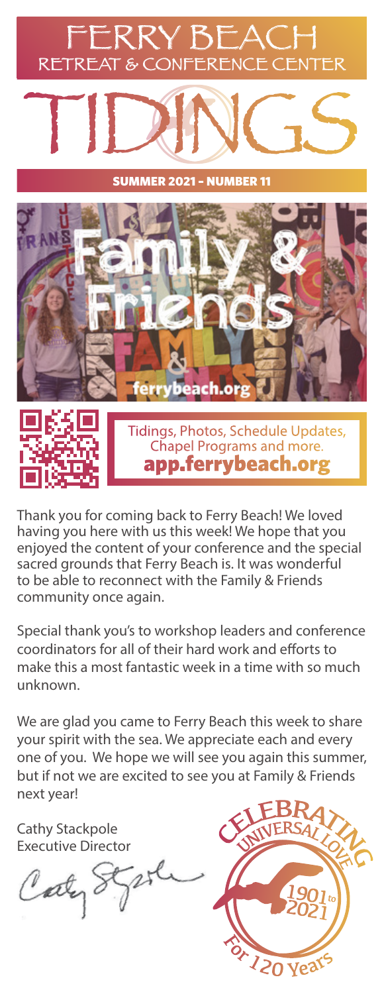

SUMMER 2021 – NUMBER 11





Tidings, Photos, Schedule Updates, Chapel Programs and more. [app.ferrybeach.org](http://app.ferrybeach.org)

Thank you for coming back to Ferry Beach! We loved having you here with us this week! We hope that you enjoyed the content of your conference and the special sacred grounds that Ferry Beach is. It was wonderful to be able to reconnect with the Family & Friends community once again.

Special thank you's to workshop leaders and conference coordinators for all of their hard work and efforts to make this a most fantastic week in a time with so much unknown.

We are glad you came to Ferry Beach this week to share your spirit with the sea. We appreciate each and every one of you. We hope we will see you again this summer, but if not we are excited to see you at Family & Friends next year!

Cathy Stackpole Executive Director

 $25$ Caty 8

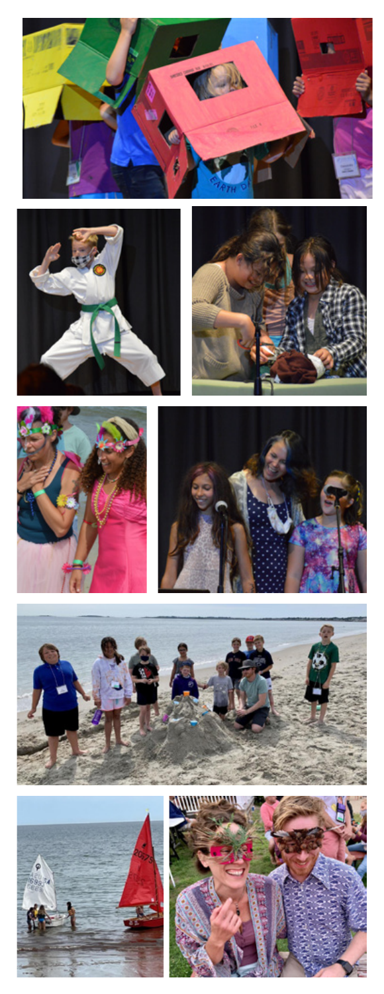













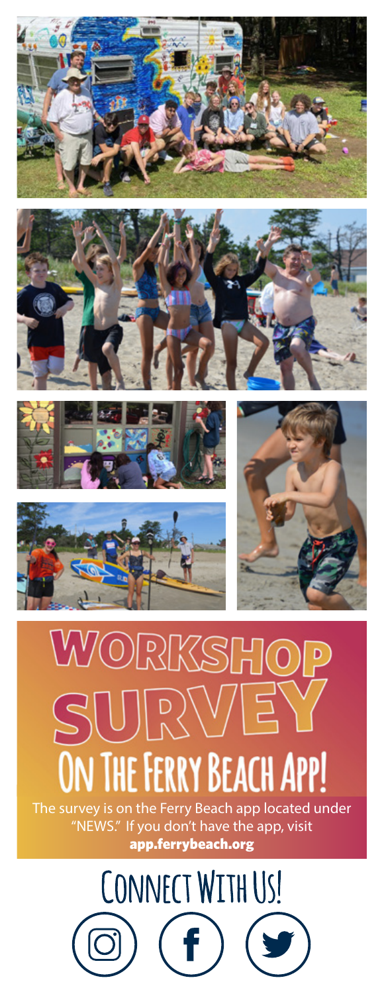









## WORKSHG  $\overline{D}$ SUI  $\begin{pmatrix} 0 \\ 0 \end{pmatrix}$ ON THE FERRY BEACH APP!

[The survey is on the Ferry Beach app located under](https://docs.google.com/forms/d/e/1FAIpQLSeEhdyp955vUo8OtmvTsPYm5QytMyibnkGOwos6-ezADKqD4w/viewform)  "NEWS." If you don't have the app, visit app.ferrybeach.org